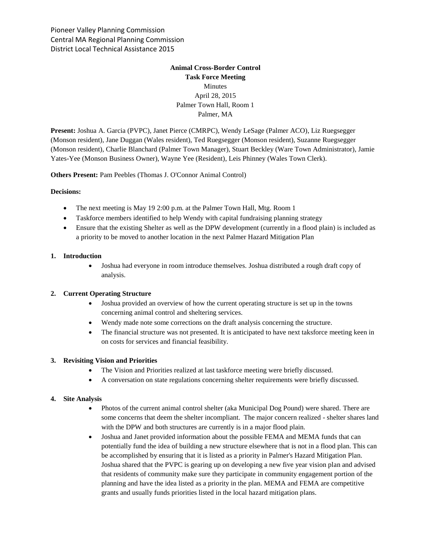Pioneer Valley Planning Commission Central MA Regional Planning Commission District Local Technical Assistance 2015

# **Animal Cross-Border Control Task Force Meeting** Minutes April 28, 2015 Palmer Town Hall, Room 1 Palmer, MA

**Present:** Joshua A. Garcia (PVPC), Janet Pierce (CMRPC), Wendy LeSage (Palmer ACO), Liz Ruegsegger (Monson resident), Jane Duggan (Wales resident), Ted Ruegsegger (Monson resident), Suzanne Ruegsegger (Monson resident), Charlie Blanchard (Palmer Town Manager), Stuart Beckley (Ware Town Administrator), Jamie Yates-Yee (Monson Business Owner), Wayne Yee (Resident), Leis Phinney (Wales Town Clerk).

**Others Present:** Pam Peebles (Thomas J. O'Connor Animal Control)

#### **Decisions:**

- The next meeting is May 19 2:00 p.m. at the Palmer Town Hall, Mtg. Room 1
- Taskforce members identified to help Wendy with capital fundraising planning strategy
- Ensure that the existing Shelter as well as the DPW development (currently in a flood plain) is included as a priority to be moved to another location in the next Palmer Hazard Mitigation Plan

#### **1. Introduction**

 Joshua had everyone in room introduce themselves. Joshua distributed a rough draft copy of analysis.

### **2. Current Operating Structure**

- Joshua provided an overview of how the current operating structure is set up in the towns concerning animal control and sheltering services.
- Wendy made note some corrections on the draft analysis concerning the structure.
- The financial structure was not presented. It is anticipated to have next taksforce meeting keen in on costs for services and financial feasibility.

### **3. Revisiting Vision and Priorities**

- The Vision and Priorities realized at last taskforce meeting were briefly discussed.
- A conversation on state regulations concerning shelter requirements were briefly discussed.

#### **4. Site Analysis**

- Photos of the current animal control shelter (aka Municipal Dog Pound) were shared. There are some concerns that deem the shelter incompliant. The major concern realized - shelter shares land with the DPW and both structures are currently is in a major flood plain.
- Joshua and Janet provided information about the possible FEMA and MEMA funds that can potentially fund the idea of building a new structure elsewhere that is not in a flood plan. This can be accomplished by ensuring that it is listed as a priority in Palmer's Hazard Mitigation Plan. Joshua shared that the PVPC is gearing up on developing a new five year vision plan and advised that residents of community make sure they participate in community engagement portion of the planning and have the idea listed as a priority in the plan. MEMA and FEMA are competitive grants and usually funds priorities listed in the local hazard mitigation plans.